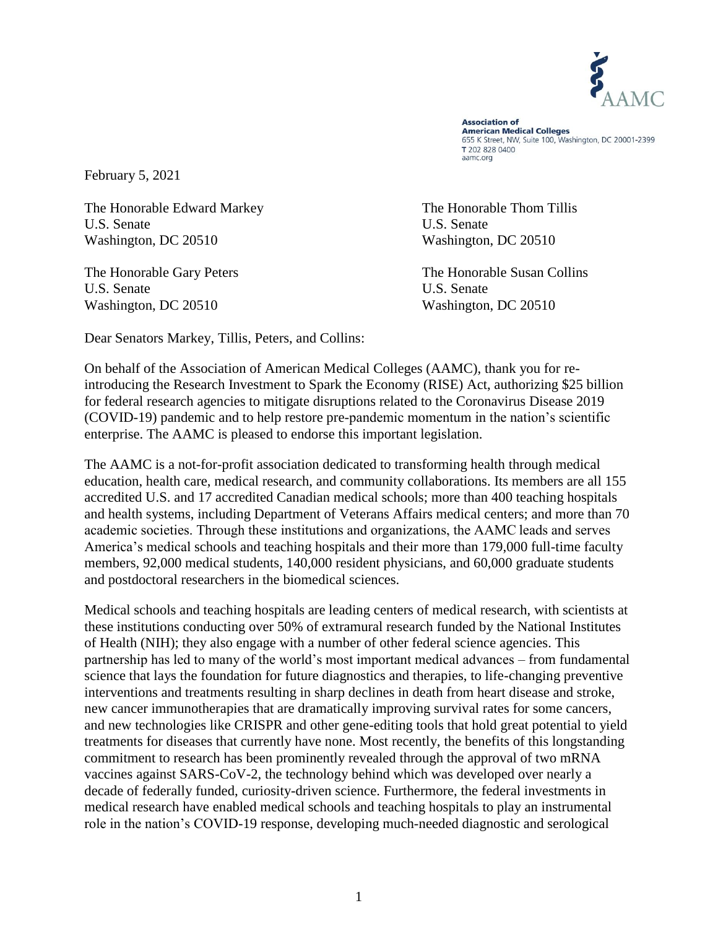

**Association of American Medical Colleges** 655 K Street, NW, Suite 100, Washington, DC 20001-2399 T 202 828 0400 aamc.org

February 5, 2021

The Honorable Edward Markey The Honorable Thom Tillis U.S. Senate U.S. Senate Washington, DC 20510 Washington, DC 20510

U.S. Senate U.S. Senate Washington, DC 20510 Washington, DC 20510

The Honorable Gary Peters The Honorable Susan Collins

Dear Senators Markey, Tillis, Peters, and Collins:

On behalf of the Association of American Medical Colleges (AAMC), thank you for reintroducing the Research Investment to Spark the Economy (RISE) Act, authorizing \$25 billion for federal research agencies to mitigate disruptions related to the Coronavirus Disease 2019 (COVID-19) pandemic and to help restore pre-pandemic momentum in the nation's scientific enterprise. The AAMC is pleased to endorse this important legislation.

The AAMC is a not-for-profit association dedicated to transforming health through medical education, health care, medical research, and community collaborations. Its members are all 155 accredited U.S. and 17 accredited Canadian medical schools; more than 400 teaching hospitals and health systems, including Department of Veterans Affairs medical centers; and more than 70 academic societies. Through these institutions and organizations, the AAMC leads and serves America's medical schools and teaching hospitals and their more than 179,000 full-time faculty members, 92,000 medical students, 140,000 resident physicians, and 60,000 graduate students and postdoctoral researchers in the biomedical sciences.

Medical schools and teaching hospitals are leading centers of medical research, with scientists at these institutions conducting over 50% of extramural research funded by the National Institutes of Health (NIH); they also engage with a number of other federal science agencies. This partnership has led to many of the world's most important medical advances – from fundamental science that lays the foundation for future diagnostics and therapies, to life-changing preventive interventions and treatments resulting in sharp declines in death from heart disease and stroke, new cancer immunotherapies that are dramatically improving survival rates for some cancers, and new technologies like CRISPR and other gene-editing tools that hold great potential to yield treatments for diseases that currently have none. Most recently, the benefits of this longstanding commitment to research has been prominently revealed through the approval of two mRNA vaccines against SARS-CoV-2, the technology behind which was developed over nearly a decade of federally funded, curiosity-driven science. Furthermore, the federal investments in medical research have enabled medical schools and teaching hospitals to play an instrumental role in the nation's COVID-19 response, developing much-needed diagnostic and serological